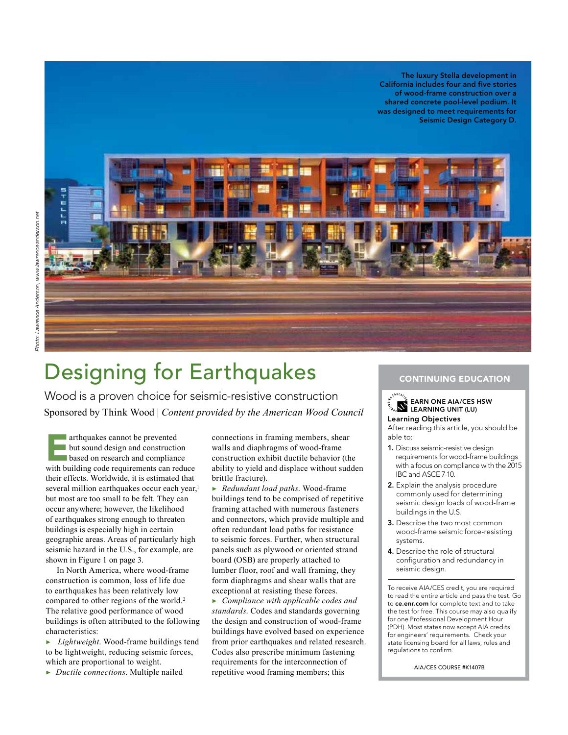The luxury Stella development in California includes four and five stories of wood-frame construction over a shared concrete pool-level podium. It was designed to meet requirements for Seismic Design Category D.



# Designing for Earthquakes

Wood is a proven choice for seismic-resistive construction Sponsored by Think Wood | *Content provided by the American Wood Council*

arthquakes cannot be prevented **but sound design and construction based on research and compliance** with building code requirements can reduce their effects. Worldwide, it is estimated that several million earthquakes occur each year,<sup>1</sup> but most are too small to be felt. They can occur anywhere; however, the likelihood of earthquakes strong enough to threaten buildings is especially high in certain geographic areas. Areas of particularly high seismic hazard in the U.S., for example, are shown in Figure 1 on page 3.

In North America, where wood-frame construction is common, loss of life due to earthquakes has been relatively low compared to other regions of the world.<sup>2</sup> The relative good performance of wood buildings is often attributed to the following characteristics:

▶ *Lightweight*. Wood-frame buildings tend to be lightweight, reducing seismic forces, which are proportional to weight.

▶ *Ductile connections*. Multiple nailed

connections in framing members, shear walls and diaphragms of wood-frame construction exhibit ductile behavior (the ability to yield and displace without sudden brittle fracture).

▶ *Redundant load paths*. Wood-frame buildings tend to be comprised of repetitive framing attached with numerous fasteners and connectors, which provide multiple and often redundant load paths for resistance to seismic forces. Further, when structural panels such as plywood or oriented strand board (OSB) are properly attached to lumber floor, roof and wall framing, they form diaphragms and shear walls that are exceptional at resisting these forces.

▶ *Compliance with applicable codes and standards*. Codes and standards governing the design and construction of wood-frame buildings have evolved based on experience from prior earthquakes and related research. Codes also prescribe minimum fastening requirements for the interconnection of repetitive wood framing members; this

#### CONTINUING EDUCATION

#### EARN ONE AIA/CES HSW LEARNING UNIT (LU) Learning Objectives

After reading this article, you should be able to:

- 1. Discuss seismic-resistive design requirements for wood-frame buildings with a focus on compliance with the 2015 IBC and ASCE 7-10.
- 2. Explain the analysis procedure commonly used for determining seismic design loads of wood-frame buildings in the U.S.
- 3. Describe the two most common wood-frame seismic force-resisting systems.
- 4. Describe the role of structural configuration and redundancy in seismic design.

To receive AIA/CES credit, you are required to read the entire article and pass the test. Go to ce.enr.com for complete text and to take the test for free. This course may also qualify for one Professional Development Hour (PDH). Most states now accept AIA credits for engineers' requirements. Check your state licensing board for all laws, rules and regulations to confirm.

AIA/CES COURSE #K1407B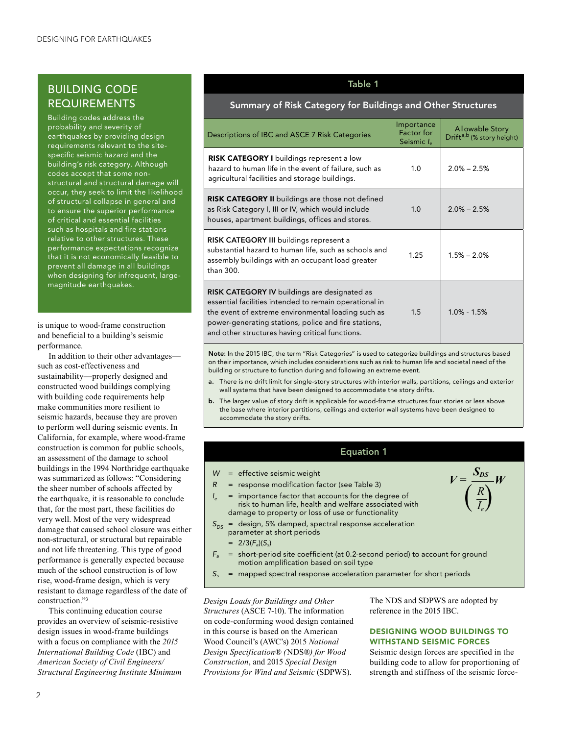### BUILDING CODE REQUIREMENTS

Building codes address the probability and severity of earthquakes by providing design requirements relevant to the sitespecific seismic hazard and the building's risk category. Although codes accept that some nonstructural and structural damage will occur, they seek to limit the likelihood of structural collapse in general and to ensure the superior performance of critical and essential facilities such as hospitals and fire stations relative to other structures. These performance expectations recognize that it is not economically feasible to prevent all damage in all buildings when designing for infrequent, largemagnitude earthquakes.

is unique to wood-frame construction and beneficial to a building's seismic performance.

In addition to their other advantages such as cost-effectiveness and sustainability—properly designed and constructed wood buildings complying with building code requirements help make communities more resilient to seismic hazards, because they are proven to perform well during seismic events. In California, for example, where wood-frame construction is common for public schools, an assessment of the damage to school buildings in the 1994 Northridge earthquake was summarized as follows: "Considering the sheer number of schools affected by the earthquake, it is reasonable to conclude that, for the most part, these facilities do very well. Most of the very widespread damage that caused school closure was either non-structural, or structural but repairable and not life threatening. This type of good performance is generally expected because much of the school construction is of low rise, wood-frame design, which is very resistant to damage regardless of the date of construction."3

This continuing education course provides an overview of seismic-resistive design issues in wood-frame buildings with a focus on compliance with the *2015 International Building Code* (IBC) and *American Society of Civil Engineers/ Structural Engineering Institute Minimum* 

### Table 1

### Summary of Risk Category for Buildings and Other Structures

| Descriptions of IBC and ASCE 7 Risk Categories                                                                                                                                                                                                                          | Importance<br><b>Factor</b> for<br>Seismic le | <b>Allowable Story</b><br>Drift <sup>a,b</sup> (% story height) |
|-------------------------------------------------------------------------------------------------------------------------------------------------------------------------------------------------------------------------------------------------------------------------|-----------------------------------------------|-----------------------------------------------------------------|
| <b>RISK CATEGORY I</b> buildings represent a low<br>hazard to human life in the event of failure, such as<br>agricultural facilities and storage buildings.                                                                                                             | 1.0                                           | $2.0\% - 2.5\%$                                                 |
| <b>RISK CATEGORY II</b> buildings are those not defined<br>as Risk Category I, III or IV, which would include<br>houses, apartment buildings, offices and stores.                                                                                                       | 1.0                                           | $2.0\% - 2.5\%$                                                 |
| <b>RISK CATEGORY III</b> buildings represent a<br>substantial hazard to human life, such as schools and<br>assembly buildings with an occupant load greater<br>than 300.                                                                                                | 1.25                                          | $1.5\% - 2.0\%$                                                 |
| RISK CATEGORY IV buildings are designated as<br>essential facilities intended to remain operational in<br>the event of extreme environmental loading such as<br>power-generating stations, police and fire stations,<br>and other structures having critical functions. | 1.5                                           | $1.0\% - 1.5\%$                                                 |

Note: In the 2015 IBC, the term "Risk Categories" is used to categorize buildings and structures based on their importance, which includes considerations such as risk to human life and societal need of the building or structure to function during and following an extreme event.

- a. There is no drift limit for single-story structures with interior walls, partitions, ceilings and exterior wall systems that have been designed to accommodate the story drifts.
- b. The larger value of story drift is applicable for wood-frame structures four stories or less above the base where interior partitions, ceilings and exterior wall systems have been designed to accommodate the story drifts.

#### Equation 1

- *W* = effective seismic weight
- *R* = response modification factor (see Table 3)
- = importance factor that accounts for the degree of risk to human life, health and welfare associated with damage to property or loss of use or functionality
- *S*<sub>DS</sub> = design, 5% damped, spectral response acceleration parameter at short periods
	- $= 2/3(F_a)(S_s)$
- *Fa* = short-period site coefficient (at 0.2-second period) to account for ground motion amplification based on soil type
- $S_s$  = mapped spectral response acceleration parameter for short periods

*Design Loads for Buildings and Other Structures* (ASCE 7-10). The information on code-conforming wood design contained in this course is based on the American Wood Council's (AWC's) 2015 *National Design Specification® (*NDS®*) for Wood Construction*, and 2015 *Special Design Provisions for Wind and Seismic* (SDPWS).

The NDS and SDPWS are adopted by reference in the 2015 IBC.

#### DESIGNING WOOD BUILDINGS TO WITHSTAND SEISMIC FORCES

Seismic design forces are specified in the building code to allow for proportioning of strength and stiffness of the seismic force-

*V =*

 $\frac{S_{DS}}{S_{DS}}W$ *R*  $\left(\frac{R}{I_e}\right)$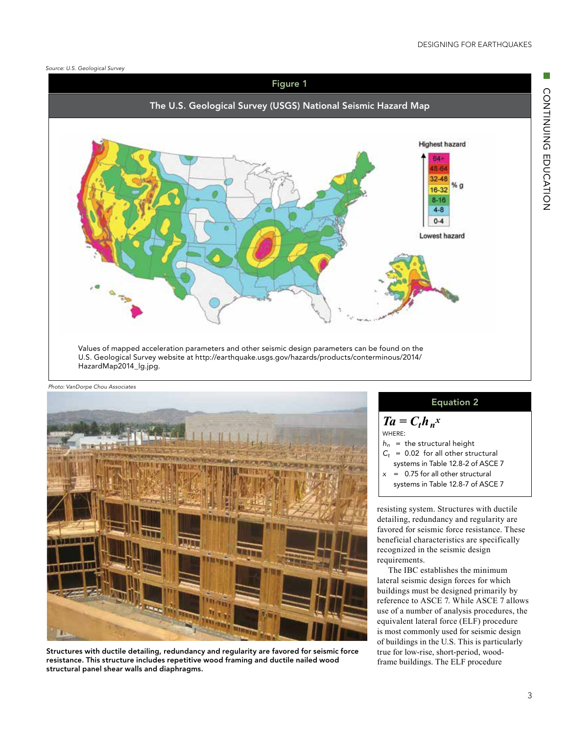#### *Source: U.S. Geological Survey*





Structures with ductile detailing, redundancy and regularity are favored for seismic force resistance. This structure includes repetitive wood framing and ductile nailed wood structural panel shear walls and diaphragms.

#### Equation 2

 $Ta = C_t h_n^x$ where:  $h_n$  = the structural height  $C_t$  = 0.02 for all other structural systems in Table 12.8-2 of ASCE 7

- *x* = 0.75 for all other structural
- systems in Table 12.8-7 of ASCE 7

resisting system. Structures with ductile detailing, redundancy and regularity are favored for seismic force resistance. These beneficial characteristics are specifically recognized in the seismic design requirements.

The IBC establishes the minimum lateral seismic design forces for which buildings must be designed primarily by reference to ASCE 7. While ASCE 7 allows use of a number of analysis procedures, the equivalent lateral force (ELF) procedure is most commonly used for seismic design of buildings in the U.S. This is particularly true for low-rise, short-period, woodframe buildings. The ELF procedure

CONTINUING EDUCATION

CONTINUING EDUCATION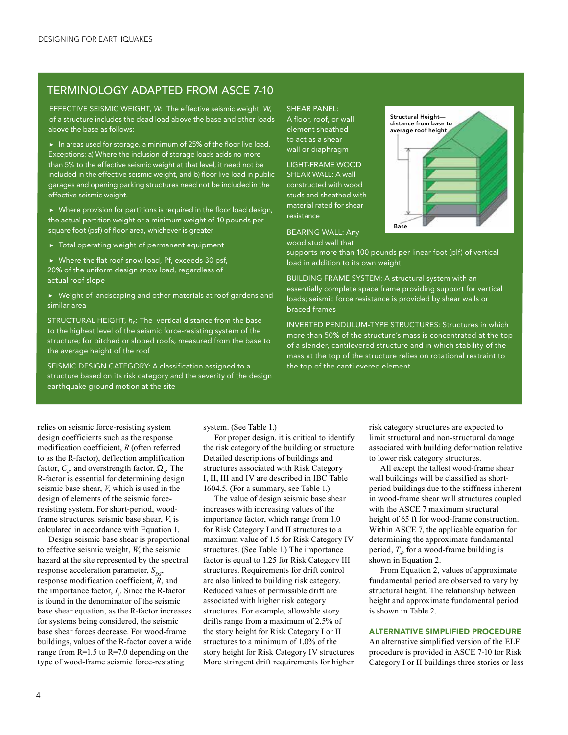### TERMINOLOGY ADAPTED FROM ASCE 7-10

EFFECTIVE SEISMIC WEIGHT, *W*: The effective seismic weight, *W*, of a structure includes the dead load above the base and other loads above the base as follows:

 $\blacktriangleright$  In areas used for storage, a minimum of 25% of the floor live load. Exceptions: a) Where the inclusion of storage loads adds no more than 5% to the effective seismic weight at that level, it need not be included in the effective seismic weight, and b) floor live load in public garages and opening parking structures need not be included in the effective seismic weight.

 $\blacktriangleright$  Where provision for partitions is required in the floor load design, the actual partition weight or a minimum weight of 10 pounds per square foot (psf) of floor area, whichever is greater

▶ Total operating weight of permanent equipment

▶ Where the flat roof snow load, Pf, exceeds 30 psf, 20% of the uniform design snow load, regardless of actual roof slope

▶ Weight of landscaping and other materials at roof gardens and similar area

STRUCTURAL HEIGHT, *h<sub>n</sub>*: The vertical distance from the base to the highest level of the seismic force-resisting system of the structure; for pitched or sloped roofs, measured from the base to the average height of the roof

SEISMIC DESIGN CATEGORY: A classification assigned to a structure based on its risk category and the severity of the design earthquake ground motion at the site

SHEAR PANEL: A floor, roof, or wall element sheathed to act as a shear wall or diaphragm

LIGHT-FRAME WOOD SHEAR WALL: A wall constructed with wood studs and sheathed with material rated for shear resistance



BEARING WALL: Any wood stud wall that

supports more than 100 pounds per linear foot (plf) of vertical load in addition to its own weight

BUILDING FRAME SYSTEM: A structural system with an essentially complete space frame providing support for vertical loads; seismic force resistance is provided by shear walls or braced frames

INVERTED PENDULUM-TYPE STRUCTURES: Structures in which more than 50% of the structure's mass is concentrated at the top of a slender, cantilevered structure and in which stability of the mass at the top of the structure relies on rotational restraint to the top of the cantilevered element

relies on seismic force-resisting system design coefficients such as the response modification coefficient, *R* (often referred to as the R-factor), deflection amplification factor,  $C_{d}$ , and overstrength factor,  $\Omega_{o}$ . The R-factor is essential for determining design seismic base shear, *V*, which is used in the design of elements of the seismic forceresisting system. For short-period, woodframe structures, seismic base shear, *V*, is calculated in accordance with Equation 1.

Design seismic base shear is proportional to effective seismic weight, *W*, the seismic hazard at the site represented by the spectral response acceleration parameter,  $S_{\text{DS}}$ , response modification coefficient, *R*, and the importance factor, *I e* . Since the R-factor is found in the denominator of the seismic base shear equation, as the R-factor increases for systems being considered, the seismic base shear forces decrease. For wood-frame buildings, values of the R-factor cover a wide range from  $R=1.5$  to  $R=7.0$  depending on the type of wood-frame seismic force-resisting

system. (See Table 1.)

For proper design, it is critical to identify the risk category of the building or structure. Detailed descriptions of buildings and structures associated with Risk Category I, II, III and IV are described in IBC Table 1604.5. (For a summary, see Table 1.)

The value of design seismic base shear increases with increasing values of the importance factor, which range from 1.0 for Risk Category I and II structures to a maximum value of 1.5 for Risk Category IV structures. (See Table 1.) The importance factor is equal to 1.25 for Risk Category III structures. Requirements for drift control are also linked to building risk category. Reduced values of permissible drift are associated with higher risk category structures. For example, allowable story drifts range from a maximum of 2.5% of the story height for Risk Category I or II structures to a minimum of 1.0% of the story height for Risk Category IV structures. More stringent drift requirements for higher

risk category structures are expected to limit structural and non-structural damage associated with building deformation relative to lower risk category structures.

All except the tallest wood-frame shear wall buildings will be classified as shortperiod buildings due to the stiffness inherent in wood-frame shear wall structures coupled with the ASCE 7 maximum structural height of 65 ft for wood-frame construction. Within ASCE 7, the applicable equation for determining the approximate fundamental period, *Ta* , for a wood-frame building is shown in Equation 2.

From Equation 2, values of approximate fundamental period are observed to vary by structural height. The relationship between height and approximate fundamental period is shown in Table 2.

#### ALTERNATIVE SIMPLIFIED PROCEDURE

An alternative simplified version of the ELF procedure is provided in ASCE 7-10 for Risk Category I or II buildings three stories or less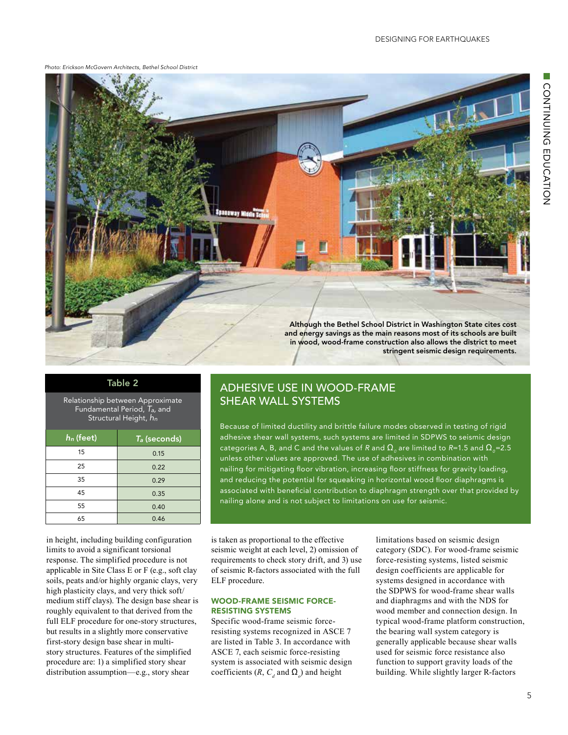*Photo: Erickson McGovern Architects, Bethel School District*



Relationship between Approximate Fundamental Period, *Ta,* and Structural Height, *hn*

| $h_n$ (feet) | T <sub>a</sub> (seconds) |  |  |
|--------------|--------------------------|--|--|
| 15           | 0.15                     |  |  |
| 25           | 0.22                     |  |  |
| 35           | 0.29                     |  |  |
| 45           | 0.35                     |  |  |
| 55           | 0.40                     |  |  |
| 65           | 0.46                     |  |  |

in height, including building configuration limits to avoid a significant torsional response. The simplified procedure is not applicable in Site Class E or F (e.g., soft clay soils, peats and/or highly organic clays, very high plasticity clays, and very thick soft/ medium stiff clays). The design base shear is roughly equivalent to that derived from the full ELF procedure for one-story structures, but results in a slightly more conservative first-story design base shear in multistory structures. Features of the simplified procedure are: 1) a simplified story shear distribution assumption—e.g., story shear

## Table 2 ADHESIVE USE IN WOOD-FRAME SHEAR WALL SYSTEMS

Because of limited ductility and brittle failure modes observed in testing of rigid adhesive shear wall systems, such systems are limited in SDPWS to seismic design categories A, B, and C and the values of R and  $\Omega_0$  are limited to R=1.5 and  $\Omega_0$ =2.5 unless other values are approved. The use of adhesives in combination with nailing for mitigating floor vibration, increasing floor stiffness for gravity loading, and reducing the potential for squeaking in horizontal wood floor diaphragms is associated with beneficial contribution to diaphragm strength over that provided by nailing alone and is not subject to limitations on use for seismic.

is taken as proportional to the effective seismic weight at each level, 2) omission of requirements to check story drift, and 3) use of seismic R-factors associated with the full ELF procedure.

#### WOOD-FRAME SEISMIC FORCE-RESISTING SYSTEMS

Specific wood-frame seismic forceresisting systems recognized in ASCE 7 are listed in Table 3. In accordance with ASCE 7, each seismic force-resisting system is associated with seismic design coefficients  $(R, C_d$  and  $\Omega_o$ ) and height

limitations based on seismic design category (SDC). For wood-frame seismic force-resisting systems, listed seismic design coefficients are applicable for systems designed in accordance with the SDPWS for wood-frame shear walls and diaphragms and with the NDS for wood member and connection design. In typical wood-frame platform construction, the bearing wall system category is generally applicable because shear walls used for seismic force resistance also function to support gravity loads of the building. While slightly larger R-factors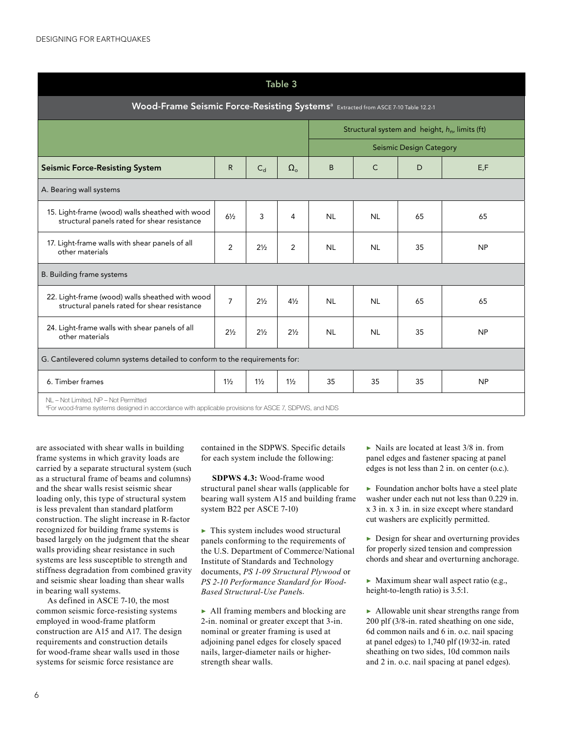| Table 3                                                                                                                                                  |                |                |                  |           |              |                                |                                                   |
|----------------------------------------------------------------------------------------------------------------------------------------------------------|----------------|----------------|------------------|-----------|--------------|--------------------------------|---------------------------------------------------|
| Wood-Frame Seismic Force-Resisting Systems <sup>a</sup> Extracted from ASCE 7-10 Table 12.2-1                                                            |                |                |                  |           |              |                                |                                                   |
|                                                                                                                                                          |                |                |                  |           |              |                                | Structural system and height, $h_n$ , limits (ft) |
|                                                                                                                                                          |                |                |                  |           |              | <b>Seismic Design Category</b> |                                                   |
| <b>Seismic Force-Resisting System</b>                                                                                                                    | $\mathsf{R}$   | $C_d$          | $\Omega_{\rm o}$ | B         | $\mathsf{C}$ | D                              | E, F                                              |
| A. Bearing wall systems                                                                                                                                  |                |                |                  |           |              |                                |                                                   |
| 15. Light-frame (wood) walls sheathed with wood<br>structural panels rated for shear resistance                                                          | $6\frac{1}{2}$ | 3              | 4                | <b>NL</b> | <b>NL</b>    | 65                             | 65                                                |
| 17. Light-frame walls with shear panels of all<br>other materials                                                                                        | 2              | $2\frac{1}{2}$ | 2                | <b>NL</b> | <b>NL</b>    | 35                             | <b>NP</b>                                         |
| B. Building frame systems                                                                                                                                |                |                |                  |           |              |                                |                                                   |
| 22. Light-frame (wood) walls sheathed with wood<br>structural panels rated for shear resistance                                                          | $\overline{7}$ | $2\frac{1}{2}$ | $4\frac{1}{2}$   | <b>NL</b> | <b>NL</b>    | 65                             | 65                                                |
| 24. Light-frame walls with shear panels of all<br>other materials                                                                                        | $2\frac{1}{2}$ | $2\frac{1}{2}$ | $2\frac{1}{2}$   | <b>NL</b> | <b>NL</b>    | 35                             | <b>NP</b>                                         |
| G. Cantilevered column systems detailed to conform to the requirements for:                                                                              |                |                |                  |           |              |                                |                                                   |
| 6. Timber frames                                                                                                                                         | $1\frac{1}{2}$ | $1\frac{1}{2}$ | $1\frac{1}{2}$   | 35        | 35           | 35                             | <b>NP</b>                                         |
| NL - Not Limited, NP - Not Permitted<br><sup>a</sup> For wood-frame systems designed in accordance with applicable provisions for ASCE 7, SDPWS, and NDS |                |                |                  |           |              |                                |                                                   |

are associated with shear walls in building frame systems in which gravity loads are carried by a separate structural system (such as a structural frame of beams and columns) and the shear walls resist seismic shear loading only, this type of structural system is less prevalent than standard platform construction. The slight increase in R-factor recognized for building frame systems is based largely on the judgment that the shear walls providing shear resistance in such systems are less susceptible to strength and stiffness degradation from combined gravity and seismic shear loading than shear walls in bearing wall systems.

As defined in ASCE 7-10, the most common seismic force-resisting systems employed in wood-frame platform construction are A15 and A17. The design requirements and construction details for wood-frame shear walls used in those systems for seismic force resistance are

contained in the SDPWS. Specific details for each system include the following:

**SDPWS 4.3:** Wood-frame wood structural panel shear walls (applicable for bearing wall system A15 and building frame system B22 per ASCE 7-10)

▶ This system includes wood structural panels conforming to the requirements of the U.S. Department of Commerce/National Institute of Standards and Technology documents, *PS 1-09 Structural Plywood* or *PS 2-10 Performance Standard for Wood-Based Structural-Use Panel*s.

▶ All framing members and blocking are 2-in. nominal or greater except that 3-in. nominal or greater framing is used at adjoining panel edges for closely spaced nails, larger-diameter nails or higherstrength shear walls.

 $\triangleright$  Nails are located at least 3/8 in. from panel edges and fastener spacing at panel edges is not less than 2 in. on center (o.c.).

▶ Foundation anchor bolts have a steel plate washer under each nut not less than 0.229 in. x 3 in. x 3 in. in size except where standard cut washers are explicitly permitted.

 $\triangleright$  Design for shear and overturning provides for properly sized tension and compression chords and shear and overturning anchorage.

 $\blacktriangleright$  Maximum shear wall aspect ratio (e.g., height-to-length ratio) is 3.5:1.

▶ Allowable unit shear strengths range from 200 plf (3/8-in. rated sheathing on one side, 6d common nails and 6 in. o.c. nail spacing at panel edges) to 1,740 plf (19/32-in. rated sheathing on two sides, 10d common nails and 2 in. o.c. nail spacing at panel edges).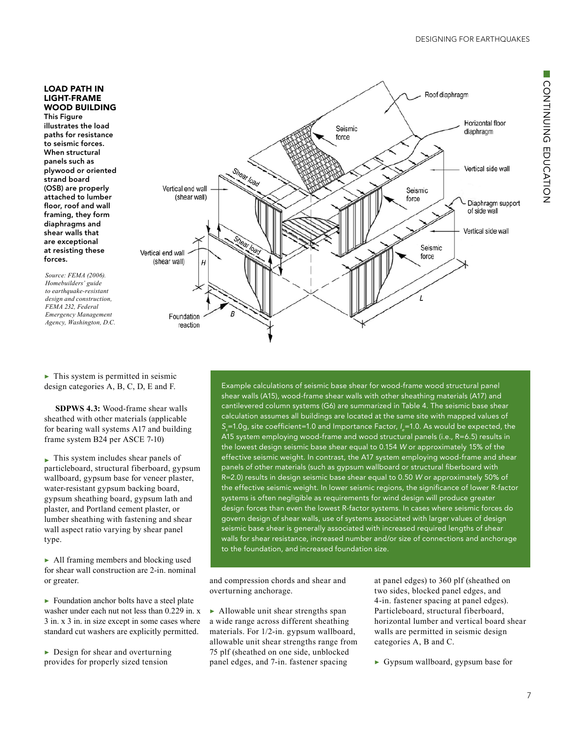#### LOAD PATH IN LIGHT-FRAME WOOD BUILDING

This Figure illustrates the load paths for resistance to seismic forces. When structural panels such as plywood or oriented strand board (OSB) are properly attached to lumber floor, roof and wall framing, they form diaphragms and shear walls that are exceptional at resisting these forces.

*Source: FEMA (2006). Homebuilders' guide to earthquake-resistant design and construction, FEMA 232, Federal Emergency Management Agency, Washington, D.C.*

 $\blacktriangleright$  This system is permitted in seismic design categories A, B, C, D, E and F.

**SDPWS 4.3:** Wood-frame shear walls sheathed with other materials (applicable for bearing wall systems A17 and building frame system B24 per ASCE 7-10)

▶ This system includes shear panels of particleboard, structural fiberboard, gypsum wallboard, gypsum base for veneer plaster, water-resistant gypsum backing board, gypsum sheathing board, gypsum lath and plaster, and Portland cement plaster, or lumber sheathing with fastening and shear wall aspect ratio varying by shear panel type.

▶ All framing members and blocking used for shear wall construction are 2-in. nominal or greater.

 $\triangleright$  Foundation anchor bolts have a steel plate washer under each nut not less than 0.229 in. x 3 in. x 3 in. in size except in some cases where standard cut washers are explicitly permitted.

 $\triangleright$  Design for shear and overturning provides for properly sized tension



Example calculations of seismic base shear for wood-frame wood structural panel shear walls (A15), wood-frame shear walls with other sheathing materials (A17) and cantilevered column systems (G6) are summarized in Table 4. The seismic base shear calculation assumes all buildings are located at the same site with mapped values of *Ss* =1.0g, site coefficient=1.0 and Importance Factor, *I <sup>e</sup>*=1.0. As would be expected, the A15 system employing wood-frame and wood structural panels (i.e., R=6.5) results in the lowest design seismic base shear equal to 0.154 *W* or approximately 15% of the effective seismic weight. In contrast, the A17 system employing wood-frame and shear panels of other materials (such as gypsum wallboard or structural fiberboard with R=2.0) results in design seismic base shear equal to 0.50 *W* or approximately 50% of the effective seismic weight. In lower seismic regions, the significance of lower R-factor systems is often negligible as requirements for wind design will produce greater design forces than even the lowest R-factor systems. In cases where seismic forces do govern design of shear walls, use of systems associated with larger values of design seismic base shear is generally associated with increased required lengths of shear walls for shear resistance, increased number and/or size of connections and anchorage to the foundation, and increased foundation size.

and compression chords and shear and overturning anchorage.

▶ Allowable unit shear strengths span a wide range across different sheathing materials. For 1/2-in. gypsum wallboard, allowable unit shear strengths range from 75 plf (sheathed on one side, unblocked panel edges, and 7-in. fastener spacing

at panel edges) to 360 plf (sheathed on two sides, blocked panel edges, and 4-in. fastener spacing at panel edges). Particleboard, structural fiberboard, horizontal lumber and vertical board shear walls are permitted in seismic design categories A, B and C.

 $\triangleright$  Gypsum wallboard, gypsum base for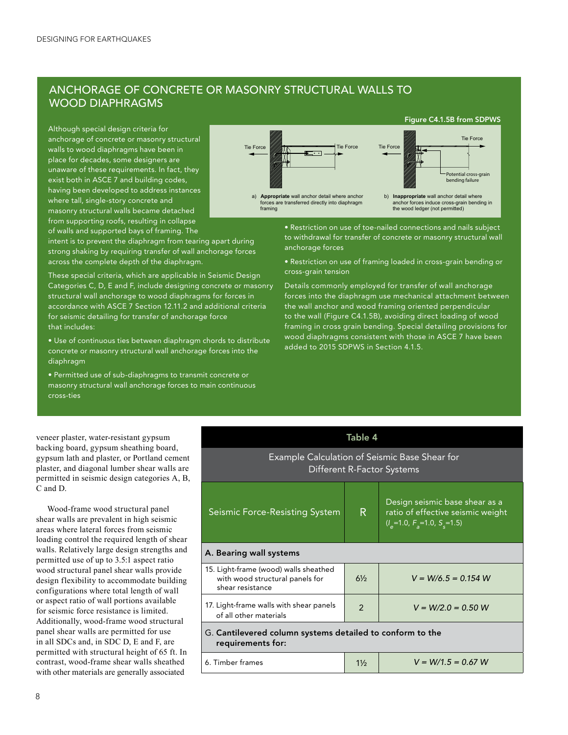### ANCHORAGE OF CONCRETE OR MASONRY STRUCTURAL WALLS TO WOOD DIAPHRAGMS

Although special design criteria for anchorage of concrete or masonry structural walls to wood diaphragms have been in place for decades, some designers are unaware of these requirements. In fact, they exist both in ASCE 7 and building codes, having been developed to address instances where tall, single-story concrete and masonry structural walls became detached from supporting roofs, resulting in collapse of walls and supported bays of framing. The



These special criteria, which are applicable in Seismic Design Categories C, D, E and F, include designing concrete or masonry structural wall anchorage to wood diaphragms for forces in accordance with ASCE 7 Section 12.11.2 and additional criteria for seismic detailing for transfer of anchorage force that includes:

- Use of continuous ties between diaphragm chords to distribute concrete or masonry structural wall anchorage forces into the diaphragm
- Permitted use of sub-diaphragms to transmit concrete or masonry structural wall anchorage forces to main continuous cross-ties

a) **Appropriate** wall anchor detail where anchor forces are transferred directly into diaphragm framing b) **Inappropriate** wall anchor detail where anchor forces induce cross-grain bending in the wood ledger (not permitted) Potential cross-grain bending failure Tie Force Tie Force Tie Force Tie Force Tie Force Figure C4.1.5B from SDPWS

> • Restriction on use of toe-nailed connections and nails subject to withdrawal for transfer of concrete or masonry structural wall anchorage forces

> • Restriction on use of framing loaded in cross-grain bending or cross-grain tension

Details commonly employed for transfer of wall anchorage forces into the diaphragm use mechanical attachment between the wall anchor and wood framing oriented perpendicular to the wall (Figure C4.1.5B), avoiding direct loading of wood framing in cross grain bending. Special detailing provisions for wood diaphragms consistent with those in ASCE 7 have been added to 2015 SDPWS in Section 4.1.5.

| veneer plaster, water-resistant gypsum       |
|----------------------------------------------|
| backing board, gypsum sheathing board,       |
| gypsum lath and plaster, or Portland cement  |
| plaster, and diagonal lumber shear walls are |
| permitted in seismic design categories A, B, |
| C and D.                                     |
|                                              |

Wood-frame wood structural panel shear walls are prevalent in high seismic areas where lateral forces from seismic loading control the required length of shear walls. Relatively large design strengths and permitted use of up to 3.5:1 aspect ratio wood structural panel shear walls provide design flexibility to accommodate building configurations where total length of wall or aspect ratio of wall portions available for seismic force resistance is limited. Additionally, wood-frame wood structural panel shear walls are permitted for use in all SDCs and, in SDC D, E and F, are permitted with structural height of 65 ft. In contrast, wood-frame shear walls sheathed with other materials are generally associated

| Table 4                                                                                      |                |                                                                                                                                       |  |  |
|----------------------------------------------------------------------------------------------|----------------|---------------------------------------------------------------------------------------------------------------------------------------|--|--|
| Example Calculation of Seismic Base Shear for<br>Different R-Factor Systems                  |                |                                                                                                                                       |  |  |
| Seismic Force-Resisting System                                                               | R.             | Design seismic base shear as a<br>ratio of effective seismic weight<br>$\binom{n}{2}$ =1.0, F <sub>2</sub> =1.0, S <sub>3</sub> =1.5) |  |  |
| A. Bearing wall systems                                                                      |                |                                                                                                                                       |  |  |
| 15. Light-frame (wood) walls sheathed<br>with wood structural panels for<br>shear resistance | $6\frac{1}{2}$ | $V = W/6.5 = 0.154 W$                                                                                                                 |  |  |
| 17. Light-frame walls with shear panels<br>of all other materials                            | $\mathfrak{p}$ | $V = W/2.0 = 0.50 W$                                                                                                                  |  |  |
| G. Cantilevered column systems detailed to conform to the<br>requirements for:               |                |                                                                                                                                       |  |  |
| 6. Timber frames                                                                             | $1\frac{1}{2}$ | $V = W/1.5 = 0.67 W$                                                                                                                  |  |  |
|                                                                                              |                |                                                                                                                                       |  |  |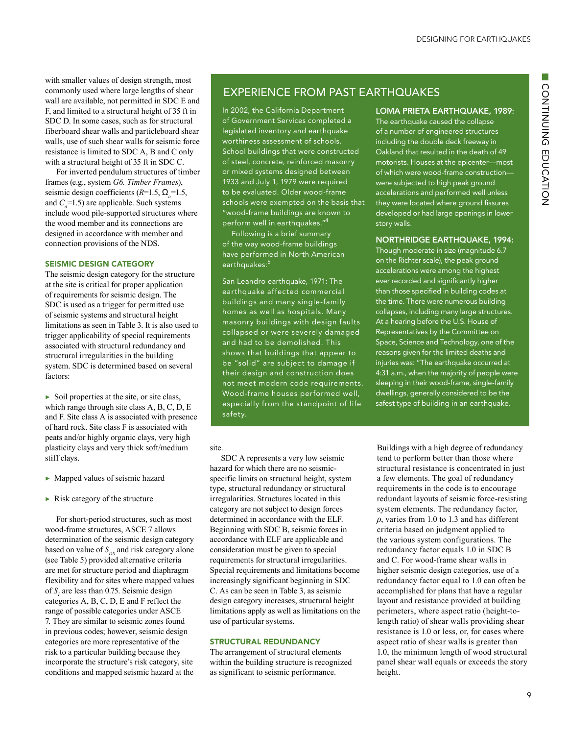with smaller values of design strength, most commonly used where large lengths of shear wall are available, not permitted in SDC E and F, and limited to a structural height of 35 ft in SDC D. In some cases, such as for structural fiberboard shear walls and particleboard shear walls, use of such shear walls for seismic force resistance is limited to SDC A, B and C only with a structural height of 35 ft in SDC C.

For inverted pendulum structures of timber frames (e.g., system *G6. Timber Frames*), seismic design coefficients (*R*=1.5, Ω*<sup>o</sup>* =1.5, and  $C_7=1.5$ ) are applicable. Such systems include wood pile-supported structures where the wood member and its connections are designed in accordance with member and connection provisions of the NDS.

#### SEISMIC DESIGN CATEGORY

The seismic design category for the structure at the site is critical for proper application of requirements for seismic design. The SDC is used as a trigger for permitted use of seismic systems and structural height limitations as seen in Table 3. It is also used to trigger applicability of special requirements associated with structural redundancy and structural irregularities in the building system. SDC is determined based on several factors:

 $\triangleright$  Soil properties at the site, or site class, which range through site class A, B, C, D, E and F. Site class A is associated with presence of hard rock. Site class F is associated with peats and/or highly organic clays, very high plasticity clays and very thick soft/medium stiff clays.

- $\blacktriangleright$  Mapped values of seismic hazard
- ▶ Risk category of the structure

For short-period structures, such as most wood-frame structures, ASCE 7 allows determination of the seismic design category based on value of  $S_{DS}$  and risk category alone (see Table 5) provided alternative criteria are met for structure period and diaphragm flexibility and for sites where mapped values of  $S<sub>1</sub>$  are less than 0.75. Seismic design categories A, B, C, D, E and F reflect the range of possible categories under ASCE 7. They are similar to seismic zones found in previous codes; however, seismic design categories are more representative of the risk to a particular building because they incorporate the structure's risk category, site conditions and mapped seismic hazard at the

### EXPERIENCE FROM PAST EARTHQUAKES

In 2002, the California Department of Government Services completed a legislated inventory and earthquake worthiness assessment of schools. School buildings that were constructed of steel, concrete, reinforced masonry or mixed systems designed between 1933 and July 1, 1979 were required to be evaluated. Older wood-frame schools were exempted on the basis that "wood-frame buildings are known to perform well in earthquakes."4

Following is a brief summary of the way wood-frame buildings have performed in North American earthquakes:<sup>5</sup>

San Leandro earthquake, 1971: The earthquake affected commercial buildings and many single-family homes as well as hospitals. Many masonry buildings with design faults collapsed or were severely damaged and had to be demolished. This shows that buildings that appear to be "solid" are subject to damage if their design and construction does not meet modern code requirements. Wood-frame houses performed well, especially from the standpoint of life safety.

#### site.

SDC A represents a very low seismic hazard for which there are no seismicspecific limits on structural height, system type, structural redundancy or structural irregularities. Structures located in this category are not subject to design forces determined in accordance with the ELF. Beginning with SDC B, seismic forces in accordance with ELF are applicable and consideration must be given to special requirements for structural irregularities. Special requirements and limitations become increasingly significant beginning in SDC C. As can be seen in Table 3, as seismic design category increases, structural height limitations apply as well as limitations on the use of particular systems.

### STRUCTURAL REDUNDANCY

The arrangement of structural elements within the building structure is recognized as significant to seismic performance.

#### LOMA PRIETA EARTHQUAKE, 1989:

The earthquake caused the collapse of a number of engineered structures including the double deck freeway in Oakland that resulted in the death of 49 motorists. Houses at the epicenter—most of which were wood-frame construction were subjected to high peak ground accelerations and performed well unless they were located where ground fissures developed or had large openings in lower story walls.

### NORTHRIDGE EARTHQUAKE, 1994:

Though moderate in size (magnitude 6.7 on the Richter scale), the peak ground accelerations were among the highest ever recorded and significantly higher than those specified in building codes at the time. There were numerous building collapses, including many large structures. At a hearing before the U.S. House of Representatives by the Committee on Space, Science and Technology, one of the reasons given for the limited deaths and injuries was: "The earthquake occurred at 4:31 a.m., when the majority of people were sleeping in their wood-frame, single-family dwellings, generally considered to be the safest type of building in an earthquake.

Buildings with a high degree of redundancy tend to perform better than those where structural resistance is concentrated in just a few elements. The goal of redundancy requirements in the code is to encourage redundant layouts of seismic force-resisting system elements. The redundancy factor, *ρ*, varies from 1.0 to 1.3 and has different criteria based on judgment applied to the various system configurations. The redundancy factor equals 1.0 in SDC B and C. For wood-frame shear walls in higher seismic design categories, use of a redundancy factor equal to 1.0 can often be accomplished for plans that have a regular layout and resistance provided at building perimeters, where aspect ratio (height-tolength ratio) of shear walls providing shear resistance is 1.0 or less, or, for cases where aspect ratio of shear walls is greater than 1.0, the minimum length of wood structural panel shear wall equals or exceeds the story height.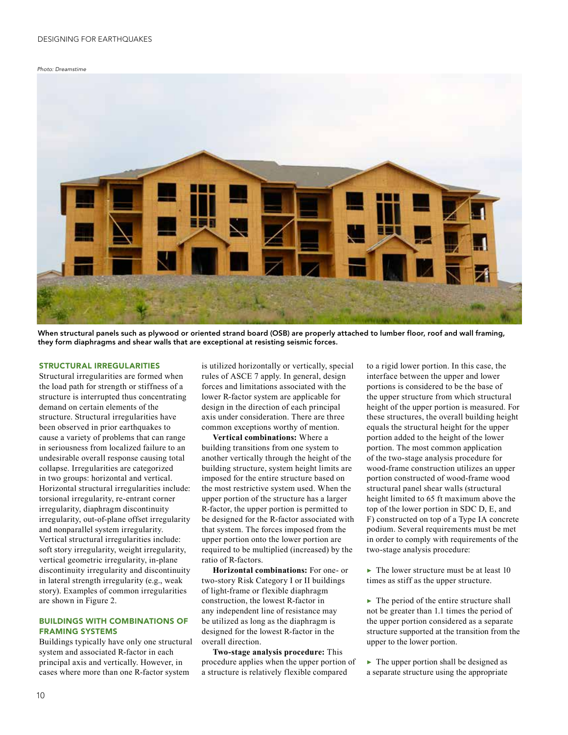#### *Photo: Dreamstime*



When structural panels such as plywood or oriented strand board (OSB) are properly attached to lumber floor, roof and wall framing, they form diaphragms and shear walls that are exceptional at resisting seismic forces.

#### STRUCTURAL IRREGULARITIES

Structural irregularities are formed when the load path for strength or stiffness of a structure is interrupted thus concentrating demand on certain elements of the structure. Structural irregularities have been observed in prior earthquakes to cause a variety of problems that can range in seriousness from localized failure to an undesirable overall response causing total collapse. Irregularities are categorized in two groups: horizontal and vertical. Horizontal structural irregularities include: torsional irregularity, re-entrant corner irregularity, diaphragm discontinuity irregularity, out-of-plane offset irregularity and nonparallel system irregularity. Vertical structural irregularities include: soft story irregularity, weight irregularity, vertical geometric irregularity, in-plane discontinuity irregularity and discontinuity in lateral strength irregularity (e.g., weak story). Examples of common irregularities are shown in Figure 2.

#### BUILDINGS WITH COMBINATIONS OF FRAMING SYSTEMS

Buildings typically have only one structural system and associated R-factor in each principal axis and vertically. However, in cases where more than one R-factor system

is utilized horizontally or vertically, special rules of ASCE 7 apply. In general, design forces and limitations associated with the lower R-factor system are applicable for design in the direction of each principal axis under consideration. There are three common exceptions worthy of mention.

**Vertical combinations:** Where a building transitions from one system to another vertically through the height of the building structure, system height limits are imposed for the entire structure based on the most restrictive system used. When the upper portion of the structure has a larger R-factor, the upper portion is permitted to be designed for the R-factor associated with that system. The forces imposed from the upper portion onto the lower portion are required to be multiplied (increased) by the ratio of R-factors.

**Horizontal combinations:** For one- or two-story Risk Category I or II buildings of light-frame or flexible diaphragm construction, the lowest R-factor in any independent line of resistance may be utilized as long as the diaphragm is designed for the lowest R-factor in the overall direction.

**Two-stage analysis procedure:** This procedure applies when the upper portion of a structure is relatively flexible compared

to a rigid lower portion. In this case, the interface between the upper and lower portions is considered to be the base of the upper structure from which structural height of the upper portion is measured. For these structures, the overall building height equals the structural height for the upper portion added to the height of the lower portion. The most common application of the two-stage analysis procedure for wood-frame construction utilizes an upper portion constructed of wood-frame wood structural panel shear walls (structural height limited to 65 ft maximum above the top of the lower portion in SDC D, E, and F) constructed on top of a Type IA concrete podium. Several requirements must be met in order to comply with requirements of the two-stage analysis procedure:

 $\blacktriangleright$  The lower structure must be at least 10 times as stiff as the upper structure.

 $\blacktriangleright$  The period of the entire structure shall not be greater than 1.1 times the period of the upper portion considered as a separate structure supported at the transition from the upper to the lower portion.

 $\blacktriangleright$  The upper portion shall be designed as a separate structure using the appropriate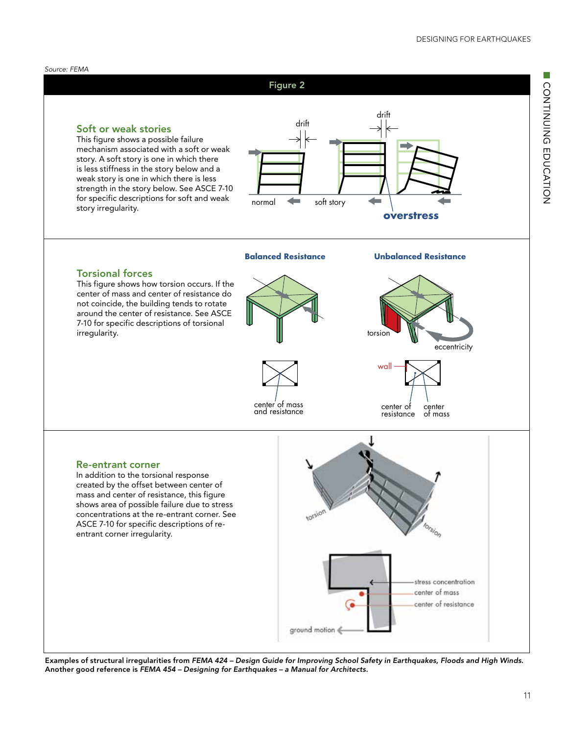



Examples of structural irregularities from *FEMA 424 – Design Guide for Improving School Safety in Earthquakes, Floods and High Winds*. Another good reference is *FEMA 454 – Designing for Earthquakes – a Manual for Architects.*